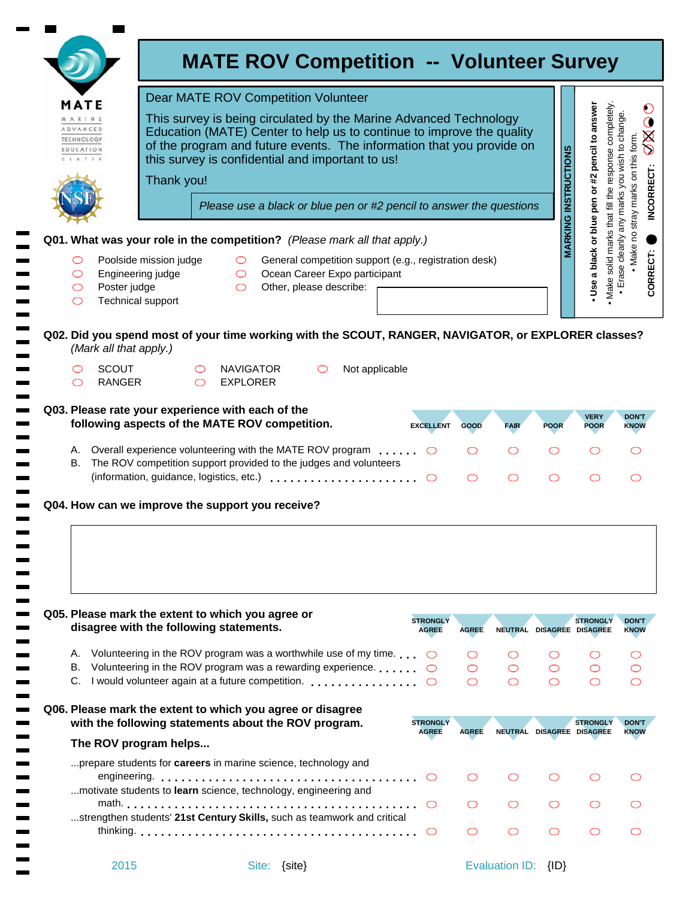|                                                      | <b>Dear MATE ROV Competition Volunteer</b><br>MATE                                                  |                                                                                                                                                                                                                                                                                       |                                     |                                                                                                                   |                                 |              |             |                             | pencil to answer                                                               |                                                                                      |
|------------------------------------------------------|-----------------------------------------------------------------------------------------------------|---------------------------------------------------------------------------------------------------------------------------------------------------------------------------------------------------------------------------------------------------------------------------------------|-------------------------------------|-------------------------------------------------------------------------------------------------------------------|---------------------------------|--------------|-------------|-----------------------------|--------------------------------------------------------------------------------|--------------------------------------------------------------------------------------|
| MARINE<br>ADVANCED<br><b>TECHNOLOGY</b><br>EDUCATION |                                                                                                     | This survey is being circulated by the Marine Advanced Technology<br>Education (MATE) Center to help us to continue to improve the quality<br>of the program and future events. The information that you provide on<br>this survey is confidential and important to us!<br>Thank you! |                                     |                                                                                                                   |                                 |              |             |                             |                                                                                | C<br>to change.<br>8<br>O<br>Make no stray marks on this form.<br>any marks you wish |
|                                                      |                                                                                                     | Please use a black or blue pen or #2 pencil to answer the questions                                                                                                                                                                                                                   |                                     |                                                                                                                   |                                 |              |             |                             | or #2                                                                          |                                                                                      |
|                                                      |                                                                                                     |                                                                                                                                                                                                                                                                                       |                                     |                                                                                                                   |                                 |              |             | <b>MARKING INSTRUCTIONS</b> | pen                                                                            |                                                                                      |
|                                                      |                                                                                                     |                                                                                                                                                                                                                                                                                       |                                     | Q01. What was your role in the competition? (Please mark all that apply.)                                         |                                 |              |             |                             | or blue                                                                        | cleanly                                                                              |
| O<br>O<br>O<br>O                                     | Poolside mission judge<br>Engineering judge<br>Poster judge<br>Technical support                    |                                                                                                                                                                                                                                                                                       | $\circ$<br>$\circ$<br>$\bigcirc$    | General competition support (e.g., registration desk)<br>Ocean Career Expo participant<br>Other, please describe: |                                 |              |             |                             | solid marks that fill the response completely<br>a black<br>Make<br><b>Use</b> | Erase o                                                                              |
|                                                      | (Mark all that apply.)                                                                              |                                                                                                                                                                                                                                                                                       |                                     | Q02. Did you spend most of your time working with the SCOUT, RANGER, NAVIGATOR, or EXPLORER classes?              |                                 |              |             |                             |                                                                                |                                                                                      |
| ⌒                                                    | <b>SCOUT</b><br>RANGER                                                                              | $\circ$                                                                                                                                                                                                                                                                               | <b>NAVIGATOR</b><br><b>EXPLORER</b> | Not applicable<br>O                                                                                               |                                 |              |             |                             |                                                                                |                                                                                      |
|                                                      | Q03. Please rate your experience with each of the<br>following aspects of the MATE ROV competition. |                                                                                                                                                                                                                                                                                       |                                     |                                                                                                                   | <b>EXCELLENT</b>                | <b>GOOD</b>  | <b>FAIR</b> | <b>POOR</b>                 | <b>VERY</b><br><b>POOR</b>                                                     | <b>DON'T</b><br><b>KNOW</b>                                                          |
|                                                      |                                                                                                     |                                                                                                                                                                                                                                                                                       |                                     |                                                                                                                   |                                 |              | O           | O                           |                                                                                | ◯                                                                                    |
|                                                      |                                                                                                     |                                                                                                                                                                                                                                                                                       |                                     | B. The ROV competition support provided to the judges and volunteers                                              |                                 |              |             |                             |                                                                                |                                                                                      |
|                                                      |                                                                                                     |                                                                                                                                                                                                                                                                                       |                                     | (information, guidance, logistics, etc.)                                                                          |                                 |              | ◯           | ◯                           |                                                                                | ◯                                                                                    |
|                                                      | Q04. How can we improve the support you receive?                                                    |                                                                                                                                                                                                                                                                                       |                                     |                                                                                                                   |                                 |              |             |                             |                                                                                |                                                                                      |
|                                                      | Q05. Please mark the extent to which you agree or<br>disagree with the following statements.        |                                                                                                                                                                                                                                                                                       |                                     |                                                                                                                   | <b>STRONGLY</b><br><b>AGREE</b> | <b>AGREE</b> |             |                             | <b>STRONGLY</b><br>NEUTRAL DISAGREE DISAGREE                                   |                                                                                      |
| А.                                                   |                                                                                                     |                                                                                                                                                                                                                                                                                       |                                     | Volunteering in the ROV program was a worthwhile use of my time. $\Box$                                           |                                 |              | O           | O                           |                                                                                | O                                                                                    |
| В.                                                   |                                                                                                     |                                                                                                                                                                                                                                                                                       |                                     | Volunteering in the ROV program was a rewarding experience                                                        | $\bigcirc$                      |              | $\circ$     | O                           |                                                                                |                                                                                      |
|                                                      | Q06. Please mark the extent to which you agree or disagree                                          |                                                                                                                                                                                                                                                                                       |                                     | C. I would volunteer again at a future competition.                                                               | $\bigcirc$                      | ◯            | ◯           | ◯                           | ◯                                                                              |                                                                                      |
|                                                      | with the following statements about the ROV program.                                                |                                                                                                                                                                                                                                                                                       |                                     |                                                                                                                   | <b>STRONGLY</b><br><b>AGREE</b> | <b>AGREE</b> |             |                             | <b>STRONGLY</b><br>NEUTRAL DISAGREE DISAGREE                                   | O<br>O                                                                               |
|                                                      | The ROV program helps                                                                               |                                                                                                                                                                                                                                                                                       |                                     |                                                                                                                   |                                 |              |             |                             |                                                                                |                                                                                      |
|                                                      |                                                                                                     |                                                                                                                                                                                                                                                                                       |                                     | prepare students for <b>careers</b> in marine science, technology and                                             |                                 | ◯            | O           | ◯                           |                                                                                | ( )                                                                                  |
|                                                      |                                                                                                     |                                                                                                                                                                                                                                                                                       |                                     | motivate students to learn science, technology, engineering and                                                   | $\circ$                         | ◯            | ◯           | ◯                           |                                                                                |                                                                                      |
|                                                      |                                                                                                     |                                                                                                                                                                                                                                                                                       |                                     | strengthen students' 21st Century Skills, such as teamwork and critical                                           | $\bigcirc$                      | ◯            | O           | ◯                           | ◯                                                                              | <b>DON'T</b><br><b>KNOW</b><br><b>DON'T</b><br><b>KNOW</b><br>◯                      |